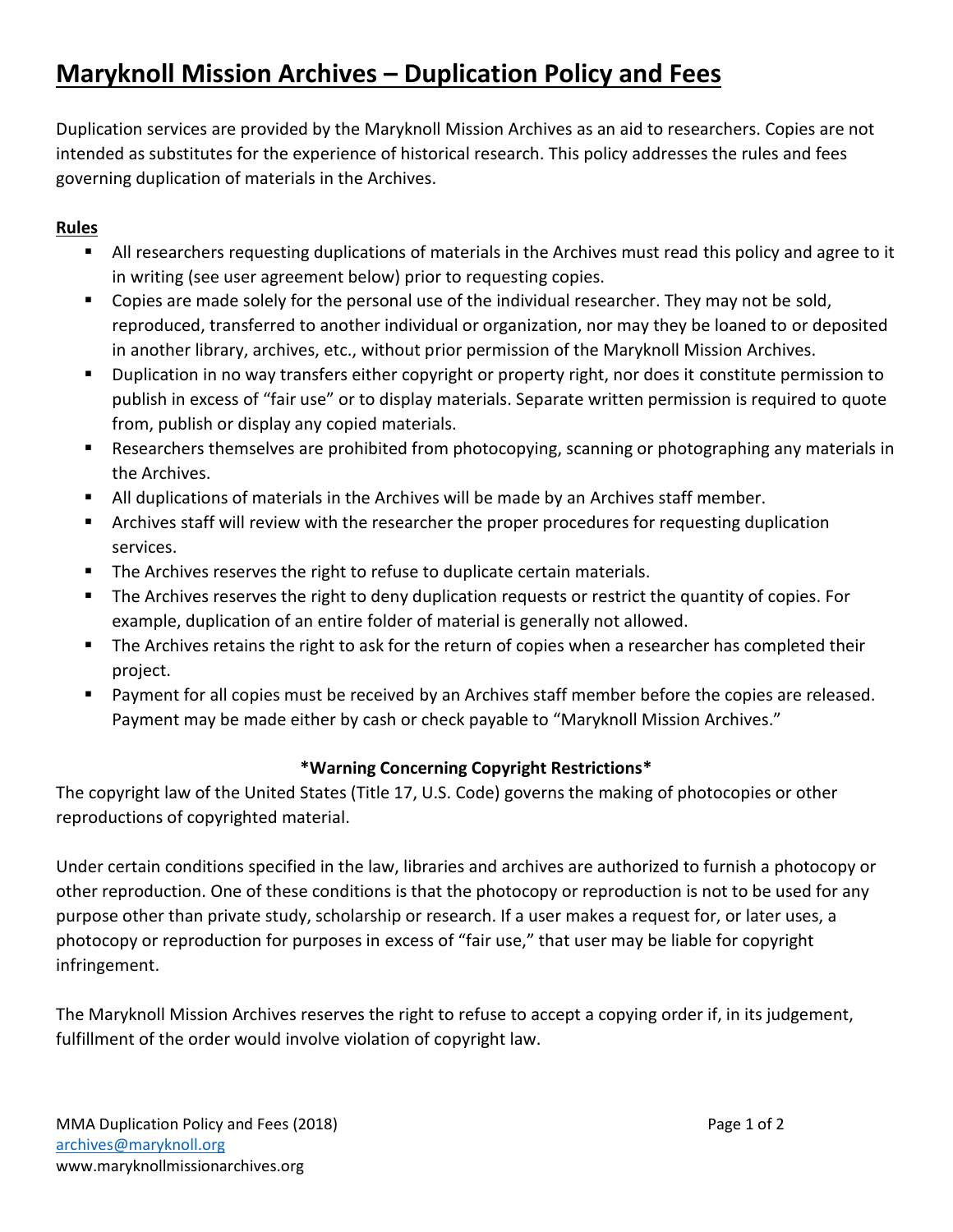# **Maryknoll Mission Archives – Duplication Policy and Fees**

Duplication services are provided by the Maryknoll Mission Archives as an aid to researchers. Copies are not intended as substitutes for the experience of historical research. This policy addresses the rules and fees governing duplication of materials in the Archives.

## **Rules**

- All researchers requesting duplications of materials in the Archives must read this policy and agree to it in writing (see user agreement below) prior to requesting copies.
- Copies are made solely for the personal use of the individual researcher. They may not be sold, reproduced, transferred to another individual or organization, nor may they be loaned to or deposited in another library, archives, etc., without prior permission of the Maryknoll Mission Archives.
- **Duplication in no way transfers either copyright or property right, nor does it constitute permission to** publish in excess of "fair use" or to display materials. Separate written permission is required to quote from, publish or display any copied materials.
- Researchers themselves are prohibited from photocopying, scanning or photographing any materials in the Archives.
- All duplications of materials in the Archives will be made by an Archives staff member.
- Archives staff will review with the researcher the proper procedures for requesting duplication services.
- The Archives reserves the right to refuse to duplicate certain materials.
- **The Archives reserves the right to deny duplication requests or restrict the quantity of copies. For** example, duplication of an entire folder of material is generally not allowed.
- The Archives retains the right to ask for the return of copies when a researcher has completed their project.
- **Payment for all copies must be received by an Archives staff member before the copies are released.** Payment may be made either by cash or check payable to "Maryknoll Mission Archives."

## **\*Warning Concerning Copyright Restrictions\***

The copyright law of the United States (Title 17, U.S. Code) governs the making of photocopies or other reproductions of copyrighted material.

Under certain conditions specified in the law, libraries and archives are authorized to furnish a photocopy or other reproduction. One of these conditions is that the photocopy or reproduction is not to be used for any purpose other than private study, scholarship or research. If a user makes a request for, or later uses, a photocopy or reproduction for purposes in excess of "fair use," that user may be liable for copyright infringement.

The Maryknoll Mission Archives reserves the right to refuse to accept a copying order if, in its judgement, fulfillment of the order would involve violation of copyright law.